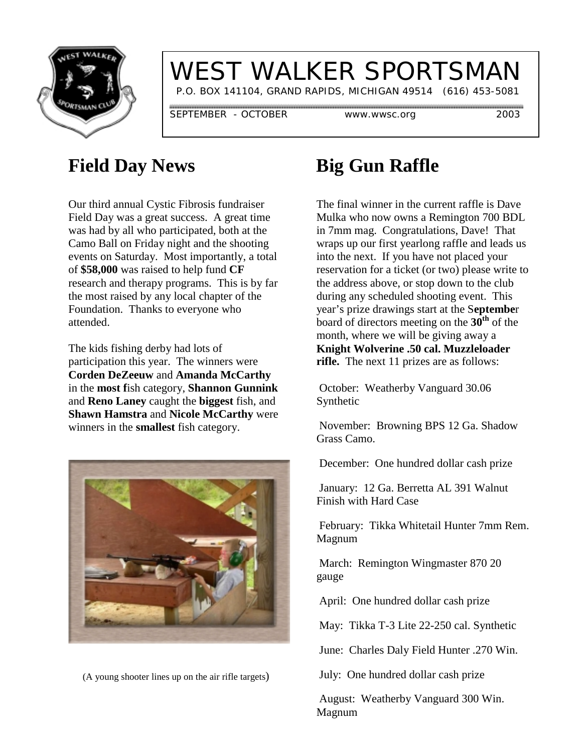

## WEST WALKER SPORTSMAN

P.O. BOX 141104, GRAND RAPIDS, MICHIGAN 49514 (616) 453-5081

SEPTEMBER - OCTOBER www.wwsc.org 2003

#### **Field Day News**

Our third annual Cystic Fibrosis fundraiser Field Day was a great success. A great time was had by all who participated, both at the Camo Ball on Friday night and the shooting events on Saturday. Most importantly, a total of **\$58,000** was raised to help fund **CF** research and therapy programs. This is by far the most raised by any local chapter of the Foundation. Thanks to everyone who attended.

The kids fishing derby had lots of participation this year. The winners were **Corden DeZeeuw** and **Amanda McCarthy** in the **most f**ish category, **Shannon Gunnink** and **Reno Laney** caught the **biggest** fish, and **Shawn Hamstra** and **Nicole McCarthy** were winners in the **smallest** fish category.



(A young shooter lines up on the air rifle targets)

#### **Big Gun Raffle**

The final winner in the current raffle is Dave Mulka who now owns a Remington 700 BDL in 7mm mag. Congratulations, Dave! That wraps up our first yearlong raffle and leads us into the next. If you have not placed your reservation for a ticket (or two) please write to the address above, or stop down to the club during any scheduled shooting event. This year's prize drawings start at the S**eptembe**r board of directors meeting on the **30th** of the month, where we will be giving away a **Knight Wolverine .50 cal. Muzzleloader rifle.** The next 11 prizes are as follows:

 October: Weatherby Vanguard 30.06 Synthetic

 November: Browning BPS 12 Ga. Shadow Grass Camo.

December: One hundred dollar cash prize

 January: 12 Ga. Berretta AL 391 Walnut Finish with Hard Case

 February: Tikka Whitetail Hunter 7mm Rem. Magnum

 March: Remington Wingmaster 870 20 gauge

April: One hundred dollar cash prize

May: Tikka T-3 Lite 22-250 cal. Synthetic

June: Charles Daly Field Hunter .270 Win.

July: One hundred dollar cash prize

 August: Weatherby Vanguard 300 Win. Magnum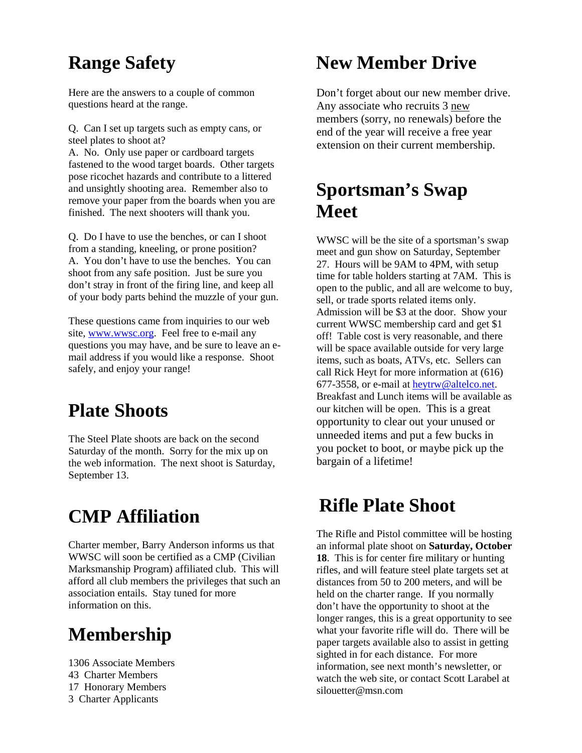#### **Range Safety**

Here are the answers to a couple of common questions heard at the range.

Q. Can I set up targets such as empty cans, or steel plates to shoot at?

A. No. Only use paper or cardboard targets fastened to the wood target boards. Other targets pose ricochet hazards and contribute to a littered and unsightly shooting area. Remember also to remove your paper from the boards when you are finished. The next shooters will thank you.

Q. Do I have to use the benches, or can I shoot from a standing, kneeling, or prone position? A. You don't have to use the benches. You can shoot from any safe position. Just be sure you don't stray in front of the firing line, and keep all of your body parts behind the muzzle of your gun.

These questions came from inquiries to our web site, www.wwsc.org. Feel free to e-mail any questions you may have, and be sure to leave an email address if you would like a response. Shoot safely, and enjoy your range!

#### **Plate Shoots**

The Steel Plate shoots are back on the second Saturday of the month. Sorry for the mix up on the web information. The next shoot is Saturday, September 13.

### **CMP Affiliation**

Charter member, Barry Anderson informs us that WWSC will soon be certified as a CMP (Civilian Marksmanship Program) affiliated club. This will afford all club members the privileges that such an association entails. Stay tuned for more information on this.

### **Membership**

1306 Associate Members 43 Charter Members 17 Honorary Members 3 Charter Applicants

### **New Member Drive**

Don't forget about our new member drive. Any associate who recruits 3 new members (sorry, no renewals) before the end of the year will receive a free year extension on their current membership.

#### **Sportsman's Swap Meet**

WWSC will be the site of a sportsman's swap meet and gun show on Saturday, September 27. Hours will be 9AM to 4PM, with setup time for table holders starting at 7AM. This is open to the public, and all are welcome to buy, sell, or trade sports related items only. Admission will be \$3 at the door. Show your current WWSC membership card and get \$1 off! Table cost is very reasonable, and there will be space available outside for very large items, such as boats, ATVs, etc. Sellers can call Rick Heyt for more information at (616) 677-3558, or e-mail at heytrw@altelco.net. Breakfast and Lunch items will be available as our kitchen will be open. This is a great opportunity to clear out your unused or unneeded items and put a few bucks in you pocket to boot, or maybe pick up the bargain of a lifetime!

#### **Rifle Plate Shoot**

The Rifle and Pistol committee will be hosting an informal plate shoot on **Saturday, October 18**. This is for center fire military or hunting rifles, and will feature steel plate targets set at distances from 50 to 200 meters, and will be held on the charter range. If you normally don't have the opportunity to shoot at the longer ranges, this is a great opportunity to see what your favorite rifle will do. There will be paper targets available also to assist in getting sighted in for each distance. For more information, see next month's newsletter, or watch the web site, or contact Scott Larabel at silouetter@msn.com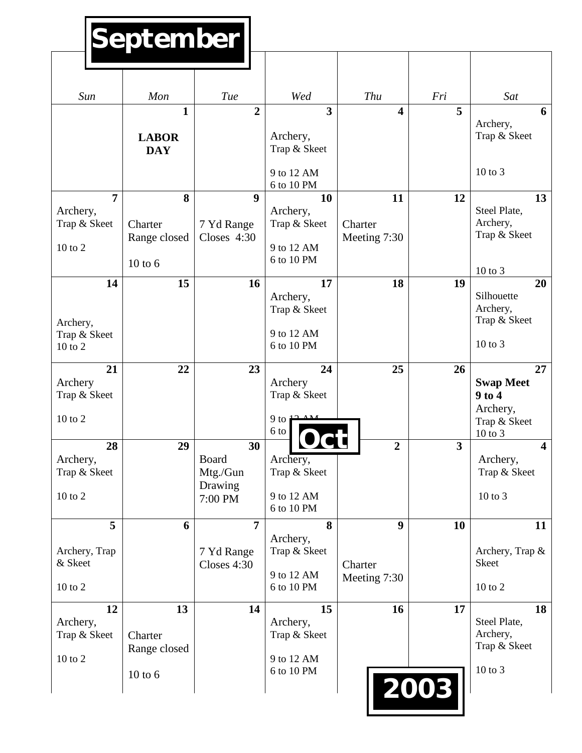# **September**

| Sun                      | Mon          | <b>Tue</b>          | Wed                      | Thu                     | Fri                     | Sat                                    |
|--------------------------|--------------|---------------------|--------------------------|-------------------------|-------------------------|----------------------------------------|
|                          | $\mathbf{1}$ | $\overline{2}$      | $\overline{\mathbf{3}}$  | $\overline{\mathbf{4}}$ | 5                       | 6<br>Archery,                          |
|                          | <b>LABOR</b> |                     | Archery,                 |                         |                         | Trap & Skeet                           |
|                          | <b>DAY</b>   |                     | Trap & Skeet             |                         |                         |                                        |
|                          |              |                     | 9 to 12 AM<br>6 to 10 PM |                         |                         | $10$ to $3$                            |
| $\overline{7}$           | 8            | 9                   | 10                       | 11                      | 12                      | 13<br>Steel Plate,                     |
| Archery,<br>Trap & Skeet | Charter      | 7 Yd Range          | Archery,<br>Trap & Skeet | Charter                 |                         | Archery,                               |
| 10 to 2                  | Range closed | Closes 4:30         | 9 to 12 AM               | Meeting 7:30            |                         | Trap & Skeet                           |
|                          | $10$ to $6$  |                     | 6 to 10 PM               |                         |                         |                                        |
| 14                       | 15           | 16                  | 17                       | 18                      | 19                      | $10$ to $3$<br>20                      |
|                          |              |                     | Archery,                 |                         |                         | Silhouette                             |
|                          |              |                     | Trap & Skeet             |                         |                         | Archery,<br>Trap & Skeet               |
| Archery,<br>Trap & Skeet |              |                     | 9 to 12 AM               |                         |                         |                                        |
| 10 to 2                  |              |                     | 6 to 10 PM               |                         |                         | 10 to 3                                |
| 21                       | 22           | 23                  | 24                       | 25                      | 26                      | 27                                     |
| Archery<br>Trap & Skeet  |              |                     | Archery<br>Trap & Skeet  |                         |                         | <b>Swap Meet</b><br>$9$ to $4$         |
|                          |              |                     |                          |                         |                         | Archery,                               |
| 10 to 2                  |              |                     | $9$ to 1<br>6 to         |                         |                         | Trap & Skeet                           |
| 28                       | 29           | 30                  |                          | $\overline{2}$          | $\overline{\mathbf{3}}$ | $10$ to $3$<br>$\overline{\mathbf{4}}$ |
| Archery,                 |              | Board               | Archery,                 |                         |                         | Archery,                               |
| Trap & Skeet             |              | Mtg./Gun<br>Drawing | Trap & Skeet             |                         |                         | Trap & Skeet                           |
| $10$ to $2$              |              | 7:00 PM             | 9 to 12 AM               |                         |                         | 10 to 3                                |
| 5                        | 6            | $\overline{7}$      | 6 to 10 PM<br>8          | 9                       | <b>10</b>               | 11                                     |
|                          |              |                     | Archery,                 |                         |                         |                                        |
| Archery, Trap            |              | 7 Yd Range          | Trap & Skeet             |                         |                         | Archery, Trap &                        |
| & Skeet                  |              | Closes 4:30         | 9 to 12 AM               | Charter<br>Meeting 7:30 |                         | <b>Skeet</b>                           |
| $10$ to $2$              |              |                     | 6 to 10 PM               |                         |                         | $10$ to $2$                            |
| 12                       | 13           | 14                  | 15                       | 16                      | 17                      | 18                                     |
| Archery,<br>Trap & Skeet | Charter      |                     | Archery,<br>Trap & Skeet |                         |                         | Steel Plate,<br>Archery,               |
|                          | Range closed |                     |                          |                         |                         | Trap & Skeet                           |
| $10$ to $2$              | $10$ to $6$  |                     | 9 to 12 AM<br>6 to 10 PM |                         |                         | 10 to 3                                |
|                          |              |                     |                          |                         | 2003                    |                                        |
|                          |              |                     |                          |                         |                         |                                        |